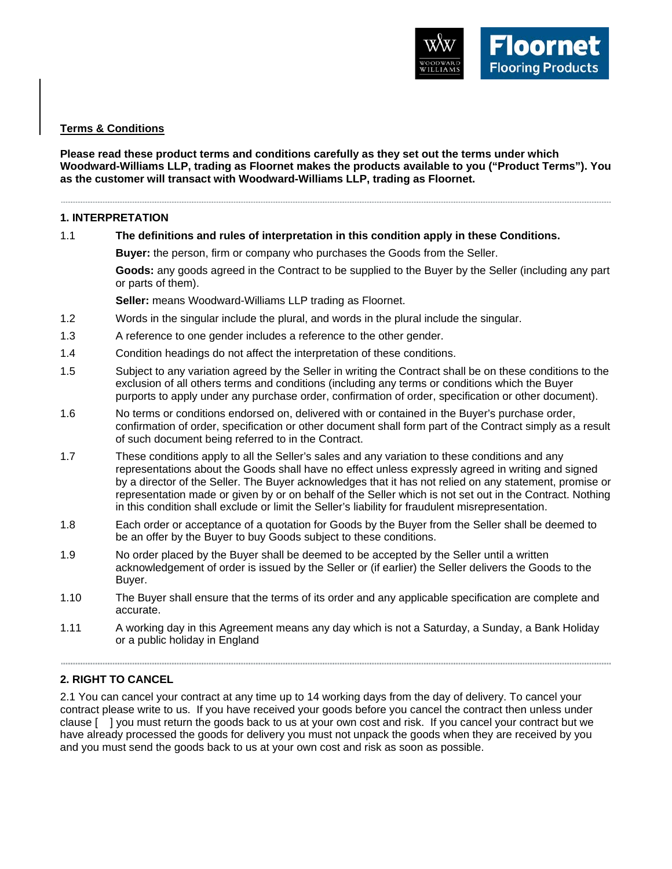

## **Terms & Conditions**

## **Please read these product terms and conditions carefully as they set out the terms under which Woodward-Williams LLP, trading as Floornet makes the products available to you ("Product Terms"). You as the customer will transact with Woodward-Williams LLP, trading as Floornet.**

#### 

## **1. INTERPRETATION**

1.1 **The definitions and rules of interpretation in this condition apply in these Conditions.**

**Buyer:** the person, firm or company who purchases the Goods from the Seller.

**Goods:** any goods agreed in the Contract to be supplied to the Buyer by the Seller (including any part or parts of them).

**Seller:** means Woodward-Williams LLP trading as Floornet.

- 1.2 Words in the singular include the plural, and words in the plural include the singular.
- 1.3 A reference to one gender includes a reference to the other gender.
- 1.4 Condition headings do not affect the interpretation of these conditions.
- 1.5 Subject to any variation agreed by the Seller in writing the Contract shall be on these conditions to the exclusion of all others terms and conditions (including any terms or conditions which the Buyer purports to apply under any purchase order, confirmation of order, specification or other document).
- 1.6 No terms or conditions endorsed on, delivered with or contained in the Buyer's purchase order, confirmation of order, specification or other document shall form part of the Contract simply as a result of such document being referred to in the Contract.
- 1.7 These conditions apply to all the Seller's sales and any variation to these conditions and any representations about the Goods shall have no effect unless expressly agreed in writing and signed by a director of the Seller. The Buyer acknowledges that it has not relied on any statement, promise or representation made or given by or on behalf of the Seller which is not set out in the Contract. Nothing in this condition shall exclude or limit the Seller's liability for fraudulent misrepresentation.
- 1.8 Each order or acceptance of a quotation for Goods by the Buyer from the Seller shall be deemed to be an offer by the Buyer to buy Goods subject to these conditions.
- 1.9 No order placed by the Buyer shall be deemed to be accepted by the Seller until a written acknowledgement of order is issued by the Seller or (if earlier) the Seller delivers the Goods to the Buyer.
- 1.10 The Buyer shall ensure that the terms of its order and any applicable specification are complete and accurate.
- 1.11 A working day in this Agreement means any day which is not a Saturday, a Sunday, a Bank Holiday or a public holiday in England

# **2. RIGHT TO CANCEL**

2.1 You can cancel your contract at any time up to 14 working days from the day of delivery. To cancel your contract please write to us. If you have received your goods before you cancel the contract then unless under clause [ ] you must return the goods back to us at your own cost and risk. If you cancel your contract but we have already processed the goods for delivery you must not unpack the goods when they are received by you and you must send the goods back to us at your own cost and risk as soon as possible.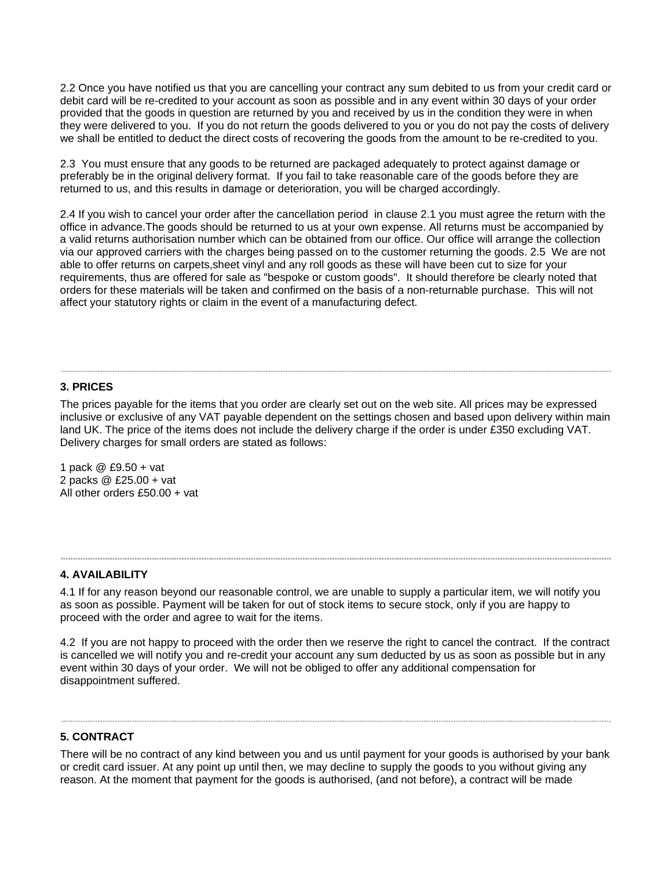2.2 Once you have notified us that you are cancelling your contract any sum debited to us from your credit card or debit card will be re-credited to your account as soon as possible and in any event within 30 days of your order provided that the goods in question are returned by you and received by us in the condition they were in when they were delivered to you. If you do not return the goods delivered to you or you do not pay the costs of delivery we shall be entitled to deduct the direct costs of recovering the goods from the amount to be re-credited to you.

2.3 You must ensure that any goods to be returned are packaged adequately to protect against damage or preferably be in the original delivery format. If you fail to take reasonable care of the goods before they are returned to us, and this results in damage or deterioration, you will be charged accordingly.

2.4 If you wish to cancel your order after the cancellation period in clause 2.1 you must agree the return with the office in advance.The goods should be returned to us at your own expense. All returns must be accompanied by a valid returns authorisation number which can be obtained from our office. Our office will arrange the collection via our approved carriers with the charges being passed on to the customer returning the goods. 2.5 We are not able to offer returns on carpets,sheet vinyl and any roll goods as these will have been cut to size for your requirements, thus are offered for sale as "bespoke or custom goods". It should therefore be clearly noted that orders for these materials will be taken and confirmed on the basis of a non-returnable purchase. This will not affect your statutory rights or claim in the event of a manufacturing defect.

### **3. PRICES**

The prices payable for the items that you order are clearly set out on the web site. All prices may be expressed inclusive or exclusive of any VAT payable dependent on the settings chosen and based upon delivery within main land UK. The price of the items does not include the delivery charge if the order is under £350 excluding VAT. Delivery charges for small orders are stated as follows:

1 pack @ £9.50 + vat 2 packs @ £25.00 + vat All other orders £50.00 + vat

#### **4. AVAILABILITY**

4.1 If for any reason beyond our reasonable control, we are unable to supply a particular item, we will notify you as soon as possible. Payment will be taken for out of stock items to secure stock, only if you are happy to proceed with the order and agree to wait for the items.

4.2 If you are not happy to proceed with the order then we reserve the right to cancel the contract. If the contract is cancelled we will notify you and re-credit your account any sum deducted by us as soon as possible but in any event within 30 days of your order. We will not be obliged to offer any additional compensation for disappointment suffered.

### **5. CONTRACT**

There will be no contract of any kind between you and us until payment for your goods is authorised by your bank or credit card issuer. At any point up until then, we may decline to supply the goods to you without giving any reason. At the moment that payment for the goods is authorised, (and not before), a contract will be made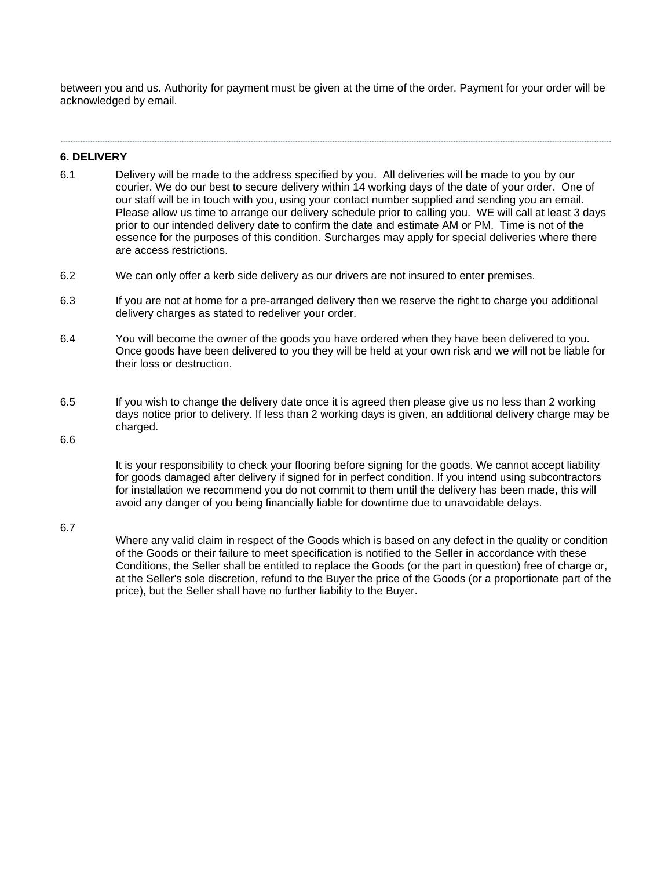between you and us. Authority for payment must be given at the time of the order. Payment for your order will be acknowledged by email.

 $\label{eq:3.1} \begin{split} \mathcal{L}^{(1)}(x) &= \mathcal{L}^{(1)}(x) + \mathcal{L}^{(1)}(x) + \mathcal{L}^{(1)}(x) + \mathcal{L}^{(1)}(x) + \mathcal{L}^{(1)}(x) + \mathcal{L}^{(1)}(x) + \mathcal{L}^{(1)}(x) + \mathcal{L}^{(1)}(x) + \mathcal{L}^{(1)}(x) + \mathcal{L}^{(1)}(x) + \mathcal{L}^{(1)}(x) + \mathcal{L}^{(1)}(x) + \mathcal{L}^{(1)}(x) + \mathcal{L}^{(1)}$ 

#### **6. DELIVERY**

- 6.1 Delivery will be made to the address specified by you. All deliveries will be made to you by our courier. We do our best to secure delivery within 14 working days of the date of your order. One of our staff will be in touch with you, using your contact number supplied and sending you an email. Please allow us time to arrange our delivery schedule prior to calling you. WE will call at least 3 days prior to our intended delivery date to confirm the date and estimate AM or PM. Time is not of the essence for the purposes of this condition. Surcharges may apply for special deliveries where there are access restrictions.
- 6.2 We can only offer a kerb side delivery as our drivers are not insured to enter premises.
- 6.3 If you are not at home for a pre-arranged delivery then we reserve the right to charge you additional delivery charges as stated to redeliver your order.
- 6.4 You will become the owner of the goods you have ordered when they have been delivered to you. Once goods have been delivered to you they will be held at your own risk and we will not be liable for their loss or destruction.
- 6.5 If you wish to change the delivery date once it is agreed then please give us no less than 2 working days notice prior to delivery. If less than 2 working days is given, an additional delivery charge may be charged.

### 6.6

It is your responsibility to check your flooring before signing for the goods. We cannot accept liability for goods damaged after delivery if signed for in perfect condition. If you intend using subcontractors for installation we recommend you do not commit to them until the delivery has been made, this will avoid any danger of you being financially liable for downtime due to unavoidable delays.

#### 6.7

Where any valid claim in respect of the Goods which is based on any defect in the quality or condition of the Goods or their failure to meet specification is notified to the Seller in accordance with these Conditions, the Seller shall be entitled to replace the Goods (or the part in question) free of charge or, at the Seller's sole discretion, refund to the Buyer the price of the Goods (or a proportionate part of the price), but the Seller shall have no further liability to the Buyer.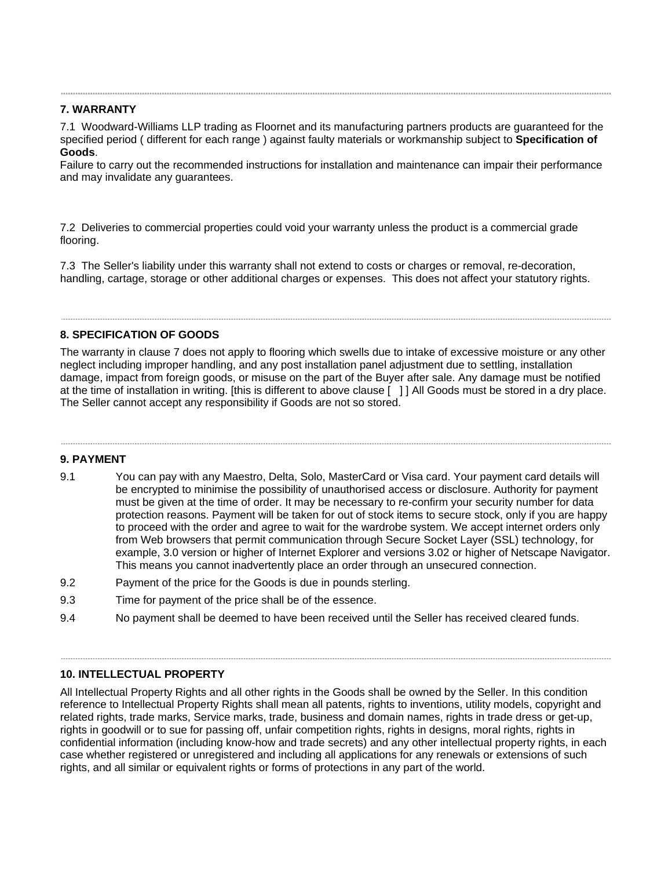## **7. WARRANTY**

7.1 Woodward-Williams LLP trading as Floornet and its manufacturing partners products are guaranteed for the specified period ( different for each range ) against faulty materials or workmanship subject to **Specification of Goods**.

Failure to carry out the recommended instructions for installation and maintenance can impair their performance and may invalidate any guarantees.

7.2 Deliveries to commercial properties could void your warranty unless the product is a commercial grade flooring.

7.3 The Seller's liability under this warranty shall not extend to costs or charges or removal, re-decoration, handling, cartage, storage or other additional charges or expenses. This does not affect your statutory rights.

# **8. SPECIFICATION OF GOODS**

The warranty in clause 7 does not apply to flooring which swells due to intake of excessive moisture or any other neglect including improper handling, and any post installation panel adjustment due to settling, installation damage, impact from foreign goods, or misuse on the part of the Buyer after sale. Any damage must be notified at the time of installation in writing. [this is different to above clause [ ] ] All Goods must be stored in a dry place. The Seller cannot accept any responsibility if Goods are not so stored.

### **9. PAYMENT**

- 9.1 You can pay with any Maestro, Delta, Solo, MasterCard or Visa card. Your payment card details will be encrypted to minimise the possibility of unauthorised access or disclosure. Authority for payment must be given at the time of order. It may be necessary to re-confirm your security number for data protection reasons. Payment will be taken for out of stock items to secure stock, only if you are happy to proceed with the order and agree to wait for the wardrobe system. We accept internet orders only from Web browsers that permit communication through Secure Socket Layer (SSL) technology, for example, 3.0 version or higher of Internet Explorer and versions 3.02 or higher of Netscape Navigator. This means you cannot inadvertently place an order through an unsecured connection.
- 9.2 Payment of the price for the Goods is due in pounds sterling.
- 9.3 Time for payment of the price shall be of the essence.
- 9.4 No payment shall be deemed to have been received until the Seller has received cleared funds.

### **10. INTELLECTUAL PROPERTY**

All Intellectual Property Rights and all other rights in the Goods shall be owned by the Seller. In this condition reference to Intellectual Property Rights shall mean all patents, rights to inventions, utility models, copyright and related rights, trade marks, Service marks, trade, business and domain names, rights in trade dress or get-up, rights in goodwill or to sue for passing off, unfair competition rights, rights in designs, moral rights, rights in confidential information (including know-how and trade secrets) and any other intellectual property rights, in each case whether registered or unregistered and including all applications for any renewals or extensions of such rights, and all similar or equivalent rights or forms of protections in any part of the world.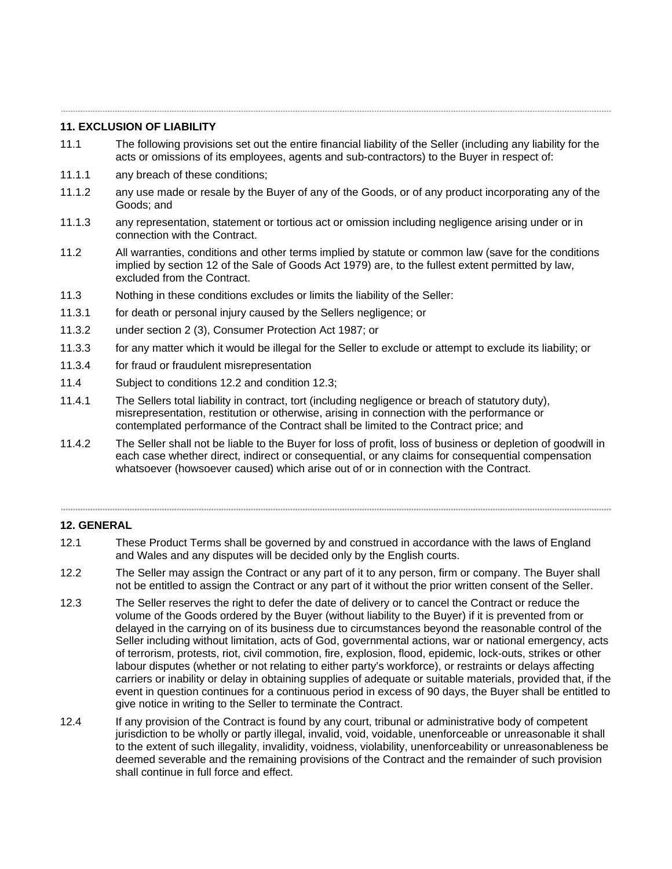## **11. EXCLUSION OF LIABILITY**

- 11.1 The following provisions set out the entire financial liability of the Seller (including any liability for the acts or omissions of its employees, agents and sub-contractors) to the Buyer in respect of:
- 11.1.1 any breach of these conditions;
- 11.1.2 any use made or resale by the Buyer of any of the Goods, or of any product incorporating any of the Goods; and
- 11.1.3 any representation, statement or tortious act or omission including negligence arising under or in connection with the Contract.
- 11.2 All warranties, conditions and other terms implied by statute or common law (save for the conditions implied by section 12 of the Sale of Goods Act 1979) are, to the fullest extent permitted by law, excluded from the Contract.
- 11.3 Nothing in these conditions excludes or limits the liability of the Seller:
- 11.3.1 for death or personal injury caused by the Sellers negligence; or
- 11.3.2 under section 2 (3), Consumer Protection Act 1987; or
- 11.3.3 for any matter which it would be illegal for the Seller to exclude or attempt to exclude its liability; or
- 11.3.4 for fraud or fraudulent misrepresentation
- 11.4 Subject to conditions 12.2 and condition 12.3;
- 11.4.1 The Sellers total liability in contract, tort (including negligence or breach of statutory duty), misrepresentation, restitution or otherwise, arising in connection with the performance or contemplated performance of the Contract shall be limited to the Contract price; and

,我们就会在这里,我们就会在这里的时候,我们就会在这里,我们就会在这里,我们就会在这里,我们就会在这里,我们就会在这里,我们就会在这里,我们就会在这里,我们就会

11.4.2 The Seller shall not be liable to the Buyer for loss of profit, loss of business or depletion of goodwill in each case whether direct, indirect or consequential, or any claims for consequential compensation whatsoever (howsoever caused) which arise out of or in connection with the Contract.

## **12. GENERAL**

- 12.1 These Product Terms shall be governed by and construed in accordance with the laws of England and Wales and any disputes will be decided only by the English courts.
- 12.2 The Seller may assign the Contract or any part of it to any person, firm or company. The Buyer shall not be entitled to assign the Contract or any part of it without the prior written consent of the Seller.
- 12.3 The Seller reserves the right to defer the date of delivery or to cancel the Contract or reduce the volume of the Goods ordered by the Buyer (without liability to the Buyer) if it is prevented from or delayed in the carrying on of its business due to circumstances beyond the reasonable control of the Seller including without limitation, acts of God, governmental actions, war or national emergency, acts of terrorism, protests, riot, civil commotion, fire, explosion, flood, epidemic, lock-outs, strikes or other labour disputes (whether or not relating to either party's workforce), or restraints or delays affecting carriers or inability or delay in obtaining supplies of adequate or suitable materials, provided that, if the event in question continues for a continuous period in excess of 90 days, the Buyer shall be entitled to give notice in writing to the Seller to terminate the Contract.
- 12.4 If any provision of the Contract is found by any court, tribunal or administrative body of competent jurisdiction to be wholly or partly illegal, invalid, void, voidable, unenforceable or unreasonable it shall to the extent of such illegality, invalidity, voidness, violability, unenforceability or unreasonableness be deemed severable and the remaining provisions of the Contract and the remainder of such provision shall continue in full force and effect.